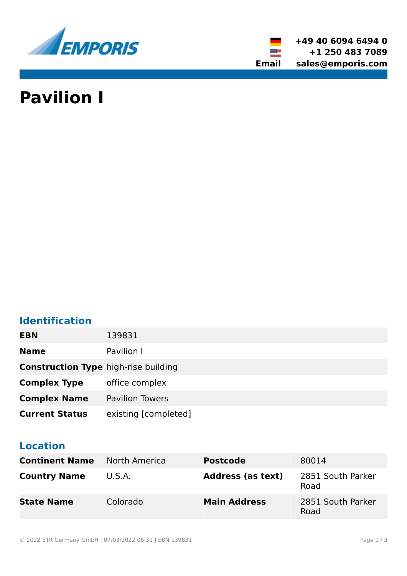

**+49 40 6094 6494 0 +1 250 483 7089 Email sales@emporis.com**

▓▆

# **Pavilion I**

### **Identification**

| <b>EBN</b>                                  | 139831                 |
|---------------------------------------------|------------------------|
| <b>Name</b>                                 | Pavilion I             |
| <b>Construction Type high-rise building</b> |                        |
| <b>Complex Type</b>                         | office complex         |
| <b>Complex Name</b>                         | <b>Pavilion Towers</b> |
| <b>Current Status</b>                       | existing [completed]   |

#### **Location**

| <b>Continent Name</b> | North America | <b>Postcode</b>          | 80014                     |
|-----------------------|---------------|--------------------------|---------------------------|
| <b>Country Name</b>   | U.S.A.        | <b>Address (as text)</b> | 2851 South Parker<br>Road |
| <b>State Name</b>     | Colorado      | <b>Main Address</b>      | 2851 South Parker<br>Road |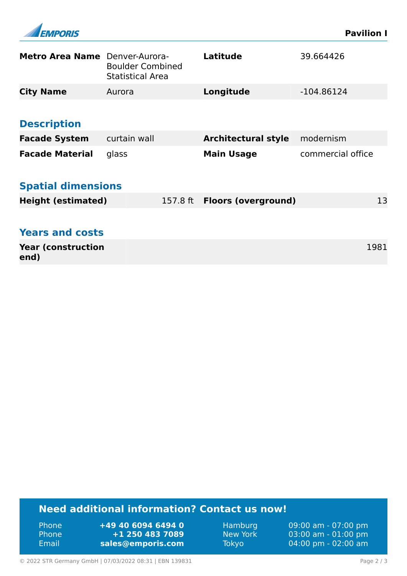| <i><b>APORIS</b></i>              |                                                    |  |                                     | <b>Pavilion I</b> |      |
|-----------------------------------|----------------------------------------------------|--|-------------------------------------|-------------------|------|
| Metro Area Name Denver-Aurora-    | <b>Boulder Combined</b><br><b>Statistical Area</b> |  | <b>Latitude</b>                     | 39.664426         |      |
| <b>City Name</b>                  | Aurora                                             |  | Longitude                           | $-104.86124$      |      |
|                                   |                                                    |  |                                     |                   |      |
| <b>Description</b>                |                                                    |  |                                     |                   |      |
| <b>Facade System</b>              | curtain wall                                       |  | <b>Architectural style</b>          | modernism         |      |
| <b>Facade Material</b>            | glass                                              |  | <b>Main Usage</b>                   | commercial office |      |
| <b>Spatial dimensions</b>         |                                                    |  |                                     |                   |      |
| <b>Height (estimated)</b>         |                                                    |  | 157.8 ft <b>Floors (overground)</b> |                   | 13   |
|                                   |                                                    |  |                                     |                   |      |
| <b>Years and costs</b>            |                                                    |  |                                     |                   |      |
| <b>Year (construction</b><br>end) |                                                    |  |                                     |                   | 1981 |

#### **Need additional information? Contact us now!**

Phone **+49 40 6094 6494 0<br>
Phone <b>+1 250 483 7089** Phone **+1 250 483 7089** Email **<sales@emporis.com>**

Hamburg 09:00 am - 07:00 pm<br>New York 03:00 am - 01:00 pm New York 03:00 am - 01:00 pm<br>Tokyo 04:00 pm - 02:00 am 04:00 pm - 02:00 am